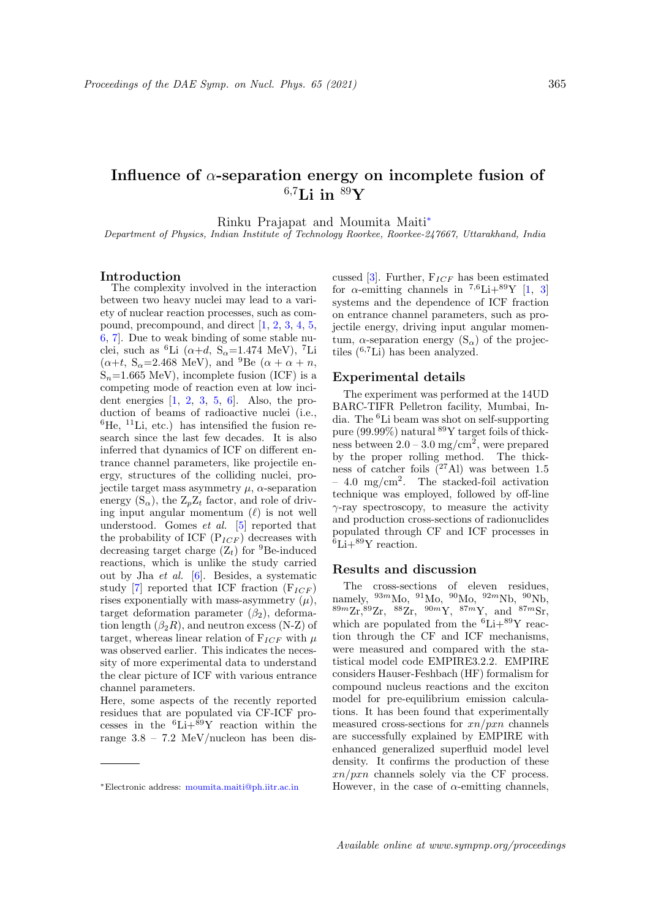# Influence of  $\alpha$ -separation energy on incomplete fusion of  $6.7$ Li in  $89$ Y

Rinku Prajapat and Moumita Maiti<sup>∗</sup>

Department of Physics, Indian Institute of Technology Roorkee, Roorkee-247667, Uttarakhand, India

#### Introduction

The complexity involved in the interaction between two heavy nuclei may lead to a variety of nuclear reaction processes, such as compound, precompound, and direct [1, 2, 3, 4, 5, 6, 7]. Due to weak binding of some stable nuclei, such as <sup>6</sup>Li ( $\alpha+d$ , S<sub> $\alpha$ </sub>=1.474 MeV), <sup>7</sup>Li  $(\alpha+t, S_{\alpha}=2.468 \text{ MeV}), \text{ and } {}^{9}\text{Be} (\alpha+\alpha+n,$  $S_n=1.665$  MeV), incomplete fusion (ICF) is a competing mode of reaction even at low incident energies  $\begin{bmatrix} 1, 2, 3, 5, 6 \end{bmatrix}$ . Also, the production of beams of radioactive nuclei (i.e.,  ${}^{6}$ He,  ${}^{11}$ Li, etc.) has intensified the fusion research since the last few decades. It is also inferred that dynamics of ICF on different entrance channel parameters, like projectile energy, structures of the colliding nuclei, projectile target mass asymmetry  $\mu$ ,  $\alpha$ -separation energy  $(S_{\alpha})$ , the  $Z_pZ_t$  factor, and role of driving input angular momentum  $(\ell)$  is not well understood. Gomes et al. [5] reported that the probability of ICF  $(P_{ICF})$  decreases with decreasing target charge  $(Z_t)$  for <sup>9</sup>Be-induced reactions, which is unlike the study carried out by Jha et al. [6]. Besides, a systematic study [7] reported that ICF fraction  $(F_{ICF})$ rises exponentially with mass-asymmetry  $(\mu)$ , target deformation parameter  $(\beta_2)$ , deformation length  $(\beta_2 R)$ , and neutron excess (N-Z) of target, whereas linear relation of  $F_{ICF}$  with  $\mu$ was observed earlier. This indicates the necessity of more experimental data to understand the clear picture of ICF with various entrance channel parameters.

Here, some aspects of the recently reported residues that are populated via CF-ICF processes in the  ${}^{6}Li+{}^{\bar{8}9}Y$  reaction within the range  $3.8 - 7.2$  MeV/nucleon has been discussed [3]. Further,  $F_{ICF}$  has been estimated for  $\alpha$ -emitting channels in <sup>7,6</sup>Li+<sup>89</sup>Y [1, 3] systems and the dependence of ICF fraction on entrance channel parameters, such as projectile energy, driving input angular momentum,  $\alpha$ -separation energy  $(S_{\alpha})$  of the projectiles  $(^{6,7}Li)$  has been analyzed.

### Experimental details

The experiment was performed at the 14UD BARC-TIFR Pelletron facility, Mumbai, India. The <sup>6</sup>Li beam was shot on self-supporting pure (99.99%) natural  ${}^{89}\mathrm{Y}$  target foils of thickness between  $2.0 - 3.0$  mg/cm<sup>2</sup>, were prepared by the proper rolling method. The thickness of catcher foils  $(27 \text{ Al})$  was between 1.5  $-4.0 \, \text{mg/cm}^2$ . The stacked-foil activation technique was employed, followed by off-line  $\gamma$ -ray spectroscopy, to measure the activity and production cross-sections of radionuclides populated through CF and ICF processes in  ${}^{6}\text{Li}+{}^{89}\text{Y}$  reaction.

#### Results and discussion

The cross-sections of eleven residues, namely,  $^{93m}$ Mo,  $^{91}$ Mo,  $^{90}$ Mo,  $^{92m}$ Nb,  $^{90}$ Nb,  ${}^{89m}\text{Zr}, {}^{89}\text{Zr}, {}^{88}\text{Zr}, {}^{90m}\text{Y}, {}^{87m}\text{Y}, \text{ and } {}^{87m}\text{Sr},$ which are populated from the  ${}^{6}Li+{}^{89}Y$  reaction through the CF and ICF mechanisms, were measured and compared with the statistical model code EMPIRE3.2.2. EMPIRE considers Hauser-Feshbach (HF) formalism for compound nucleus reactions and the exciton model for pre-equilibrium emission calculations. It has been found that experimentally measured cross-sections for  $xn/pxn$  channels are successfully explained by EMPIRE with enhanced generalized superfluid model level density. It confirms the production of these  $xn/pxn$  channels solely via the CF process. However, in the case of  $\alpha$ -emitting channels,

<sup>∗</sup>Electronic address: moumita.maiti@ph.iitr.ac.in